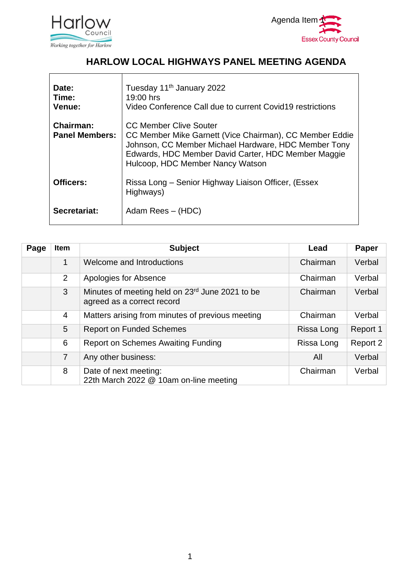



## **HARLOW LOCAL HIGHWAYS PANEL MEETING AGENDA**

| Date:<br>Time:<br>Venue:                  | Tuesday 11 <sup>th</sup> January 2022<br>19:00 hrs<br>Video Conference Call due to current Covid19 restrictions                                                                                                                             |
|-------------------------------------------|---------------------------------------------------------------------------------------------------------------------------------------------------------------------------------------------------------------------------------------------|
| <b>Chairman:</b><br><b>Panel Members:</b> | <b>CC Member Clive Souter</b><br>CC Member Mike Garnett (Vice Chairman), CC Member Eddie<br>Johnson, CC Member Michael Hardware, HDC Member Tony<br>Edwards, HDC Member David Carter, HDC Member Maggie<br>Hulcoop, HDC Member Nancy Watson |
| <b>Officers:</b>                          | Rissa Long – Senior Highway Liaison Officer, (Essex<br>Highways)                                                                                                                                                                            |
| Secretariat:                              | Adam Rees – (HDC)                                                                                                                                                                                                                           |

| Page | <b>Item</b>    | <b>Subject</b>                                                                            | Lead       | <b>Paper</b> |
|------|----------------|-------------------------------------------------------------------------------------------|------------|--------------|
|      | 1              | Welcome and Introductions                                                                 | Chairman   | Verbal       |
|      | $\overline{2}$ | Apologies for Absence                                                                     | Chairman   | Verbal       |
|      | $\mathbf{3}$   | Minutes of meeting held on 23 <sup>rd</sup> June 2021 to be<br>agreed as a correct record | Chairman   | Verbal       |
|      | 4              | Matters arising from minutes of previous meeting                                          | Chairman   | Verbal       |
|      | 5              | <b>Report on Funded Schemes</b>                                                           | Rissa Long | Report 1     |
|      | 6              | <b>Report on Schemes Awaiting Funding</b>                                                 | Rissa Long | Report 2     |
|      | $\overline{7}$ | Any other business:                                                                       | All        | Verbal       |
|      | 8              | Date of next meeting:<br>22th March 2022 @ 10am on-line meeting                           | Chairman   | Verbal       |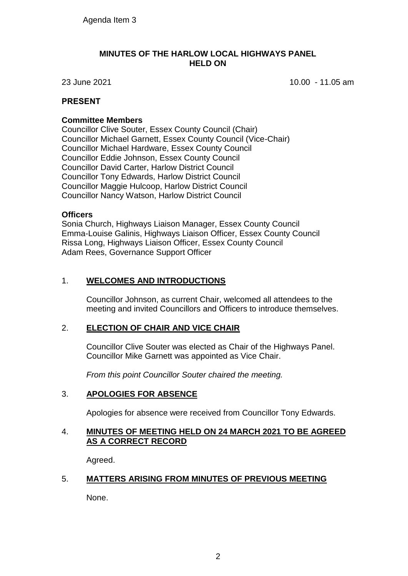#### **MINUTES OF THE HARLOW LOCAL HIGHWAYS PANEL HELD ON**

23 June 2021 10.00 - 11.05 am

### **PRESENT**

#### **Committee Members**

Councillor Clive Souter, Essex County Council (Chair) Councillor Michael Garnett, Essex County Council (Vice-Chair) Councillor Michael Hardware, Essex County Council Councillor Eddie Johnson, Essex County Council Councillor David Carter, Harlow District Council Councillor Tony Edwards, Harlow District Council Councillor Maggie Hulcoop, Harlow District Council Councillor Nancy Watson, Harlow District Council

#### **Officers**

Sonia Church, Highways Liaison Manager, Essex County Council Emma-Louise Galinis, Highways Liaison Officer, Essex County Council Rissa Long, Highways Liaison Officer, Essex County Council Adam Rees, Governance Support Officer

### 1. **WELCOMES AND INTRODUCTIONS**

Councillor Johnson, as current Chair, welcomed all attendees to the meeting and invited Councillors and Officers to introduce themselves.

### 2. **ELECTION OF CHAIR AND VICE CHAIR**

Councillor Clive Souter was elected as Chair of the Highways Panel. Councillor Mike Garnett was appointed as Vice Chair.

*From this point Councillor Souter chaired the meeting.*

### 3. **APOLOGIES FOR ABSENCE**

Apologies for absence were received from Councillor Tony Edwards.

#### 4. **MINUTES OF MEETING HELD ON 24 MARCH 2021 TO BE AGREED AS A CORRECT RECORD**

Agreed.

### 5. **MATTERS ARISING FROM MINUTES OF PREVIOUS MEETING**

None.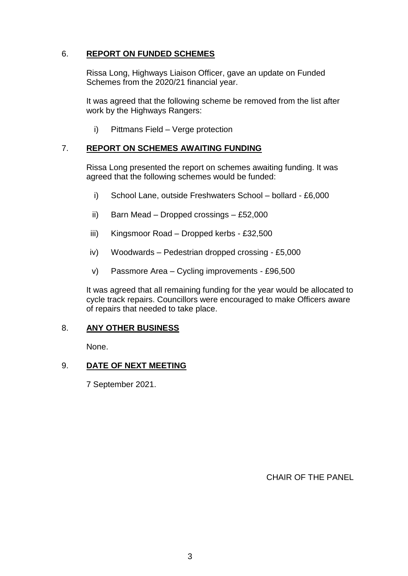### 6. **REPORT ON FUNDED SCHEMES**

Rissa Long, Highways Liaison Officer, gave an update on Funded Schemes from the 2020/21 financial year.

It was agreed that the following scheme be removed from the list after work by the Highways Rangers:

i) Pittmans Field – Verge protection

### 7. **REPORT ON SCHEMES AWAITING FUNDING**

Rissa Long presented the report on schemes awaiting funding. It was agreed that the following schemes would be funded:

- i) School Lane, outside Freshwaters School bollard £6,000
- ii) Barn Mead Dropped crossings £52,000
- iii) Kingsmoor Road Dropped kerbs £32,500
- iv) Woodwards Pedestrian dropped crossing £5,000
- v) Passmore Area Cycling improvements £96,500

It was agreed that all remaining funding for the year would be allocated to cycle track repairs. Councillors were encouraged to make Officers aware of repairs that needed to take place.

### 8. **ANY OTHER BUSINESS**

None.

### 9. **DATE OF NEXT MEETING**

7 September 2021.

CHAIR OF THE PANEL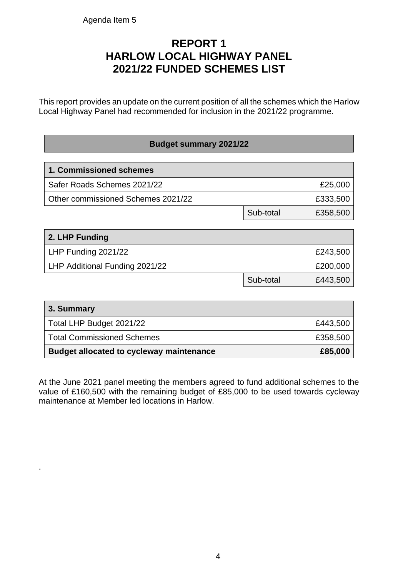.

## **REPORT 1 HARLOW LOCAL HIGHWAY PANEL 2021/22 FUNDED SCHEMES LIST**

This report provides an update on the current position of all the schemes which the Harlow Local Highway Panel had recommended for inclusion in the 2021/22 programme.

### **Budget summary 2021/22**

| 1. Commissioned schemes            |           |          |  |  |  |
|------------------------------------|-----------|----------|--|--|--|
| Safer Roads Schemes 2021/22        | £25,000   |          |  |  |  |
| Other commissioned Schemes 2021/22 |           | £333,500 |  |  |  |
|                                    | Sub-total | £358,500 |  |  |  |

| 2. LHP Funding                 |           |          |  |  |  |
|--------------------------------|-----------|----------|--|--|--|
| LHP Funding 2021/22            | £243,500  |          |  |  |  |
| LHP Additional Funding 2021/22 | £200,000  |          |  |  |  |
|                                | Sub-total | £443,500 |  |  |  |

| 3. Summary                                      |          |
|-------------------------------------------------|----------|
| Total LHP Budget 2021/22                        | £443,500 |
| <b>Total Commissioned Schemes</b>               | £358,500 |
| <b>Budget allocated to cycleway maintenance</b> | £85,000  |

At the June 2021 panel meeting the members agreed to fund additional schemes to the value of £160,500 with the remaining budget of £85,000 to be used towards cycleway maintenance at Member led locations in Harlow.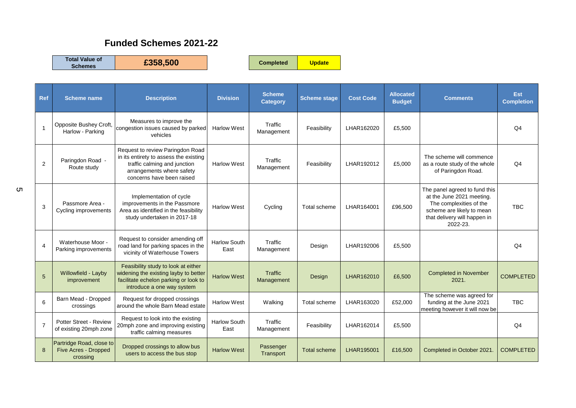## **Funded Schemes 2021-22**

**Total Value of** 

**Schemes £358,500 Completed Update**

| Ref            | <b>Scheme name</b>                                           | <b>Description</b>                                                                                                                                                   | <b>Division</b>             | <b>Scheme</b><br><b>Category</b> | <b>Scheme stage</b> | <b>Cost Code</b> | <b>Allocated</b><br><b>Budget</b> | <b>Comments</b>                                                                                                                                                | <b>Est</b><br><b>Completion</b> |
|----------------|--------------------------------------------------------------|----------------------------------------------------------------------------------------------------------------------------------------------------------------------|-----------------------------|----------------------------------|---------------------|------------------|-----------------------------------|----------------------------------------------------------------------------------------------------------------------------------------------------------------|---------------------------------|
| $\overline{1}$ | Opposite Bushey Croft,<br>Harlow - Parking                   | Measures to improve the<br>congestion issues caused by parked<br>vehicles                                                                                            | <b>Harlow West</b>          | Traffic<br>Management            | Feasibility         | LHAR162020       | £5,500                            |                                                                                                                                                                | Q <sub>4</sub>                  |
| $\overline{2}$ | Paringdon Road -<br>Route study                              | Request to review Paringdon Road<br>in its entirety to assess the existing<br>traffic calming and junction<br>arrangements where safety<br>concerns have been raised | <b>Harlow West</b>          | Traffic<br>Management            | Feasibility         | LHAR192012       | £5,000                            | The scheme will commence<br>as a route study of the whole<br>of Paringdon Road.                                                                                | Q <sub>4</sub>                  |
| 3              | Passmore Area -<br>Cycling improvements                      | Implementation of cycle<br>improvements in the Passmore<br>Area as identified in the feasibility<br>study undertaken in 2017-18                                      | <b>Harlow West</b>          | Cycling                          | Total scheme        | LHAR164001       | £96,500                           | The panel agreed to fund this<br>at the June 2021 meeting.<br>The complexities of the<br>scheme are likely to mean<br>that delivery will happen in<br>2022-23. | <b>TBC</b>                      |
| $\overline{4}$ | Waterhouse Moor -<br>Parking improvements                    | Request to consider amending off<br>road land for parking spaces in the<br>vicinity of Waterhouse Towers                                                             | <b>Harlow South</b><br>East | Traffic<br>Management            | Design              | LHAR192006       | £5,500                            |                                                                                                                                                                | Q <sub>4</sub>                  |
| 5              | Willowfield - Layby<br>improvement                           | Feasibility study to look at either<br>widening the existing layby to better<br>facilitate echelon parking or look to<br>introduce a one way system                  | <b>Harlow West</b>          | <b>Traffic</b><br>Management     | Design              | LHAR162010       | £6,500                            | <b>Completed in November</b><br>2021.                                                                                                                          | <b>COMPLETED</b>                |
| 6              | Barn Mead - Dropped<br>crossings                             | Request for dropped crossings<br>around the whole Barn Mead estate                                                                                                   | <b>Harlow West</b>          | Walking                          | Total scheme        | LHAR163020       | £52,000                           | The scheme was agreed for<br>funding at the June 2021<br>meeting however it will now be                                                                        | <b>TBC</b>                      |
| $\overline{7}$ | Potter Street - Review<br>of existing 20mph zone             | Request to look into the existing<br>20mph zone and improving existing<br>traffic calming measures                                                                   | <b>Harlow South</b><br>East | Traffic<br>Management            | Feasibility         | LHAR162014       | £5,500                            |                                                                                                                                                                | Q <sub>4</sub>                  |
| 8              | Partridge Road, close to<br>Five Acres - Dropped<br>crossing | Dropped crossings to allow bus<br>users to access the bus stop                                                                                                       | <b>Harlow West</b>          | Passenger<br>Transport           | <b>Total scheme</b> | LHAR195001       | £16,500                           | Completed in October 2021.                                                                                                                                     | <b>COMPLETED</b>                |

5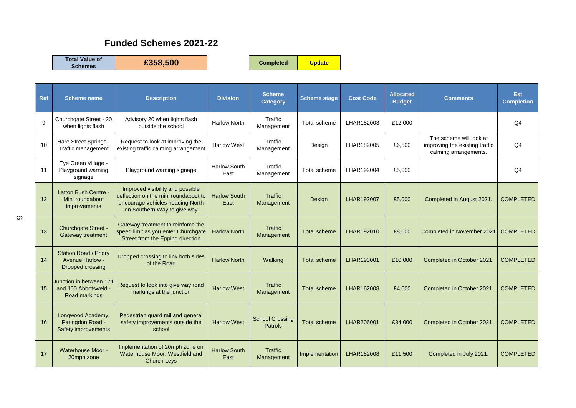## **Funded Schemes 2021-22**

**Total Value of** 

**Schemes £358,500 Completed Update**

| <b>Ref</b>   | <b>Scheme name</b>                                                         | <b>Description</b>                                                                                                                          | <b>Division</b>             | <b>Scheme</b><br><b>Category</b>         | <b>Scheme stage</b> | <b>Cost Code</b> | <b>Allocated</b><br><b>Budget</b> | <b>Comments</b>                                                                    | <b>Est</b><br><b>Completion</b> |
|--------------|----------------------------------------------------------------------------|---------------------------------------------------------------------------------------------------------------------------------------------|-----------------------------|------------------------------------------|---------------------|------------------|-----------------------------------|------------------------------------------------------------------------------------|---------------------------------|
| $\mathbf{Q}$ | Churchgate Street - 20<br>when lights flash                                | Advisory 20 when lights flash<br>outside the school                                                                                         | <b>Harlow North</b>         | Traffic<br>Management                    | Total scheme        | LHAR182003       | £12,000                           |                                                                                    | Q <sub>4</sub>                  |
| 10           | Hare Street Springs -<br>Traffic management                                | Request to look at improving the<br>existing traffic calming arrangement                                                                    | <b>Harlow West</b>          | Traffic<br>Management                    | Design              | LHAR182005       | £6,500                            | The scheme will look at<br>improving the existing traffic<br>calming arrangements. | Q <sub>4</sub>                  |
| 11           | Tye Green Village -<br>Playground warning<br>signage                       | Playground warning signage                                                                                                                  | <b>Harlow South</b><br>East | Traffic<br>Management                    | Total scheme        | LHAR192004       | £5,000                            |                                                                                    | Q <sub>4</sub>                  |
| 12           | Latton Bush Centre -<br>Mini roundabout<br><i>improvements</i>             | Improved visibility and possible<br>deflection on the mini roundabout to<br>encourage vehicles heading North<br>on Southern Way to give way | <b>Harlow South</b><br>East | Traffic<br>Management                    | Design              | LHAR192007       | £5,000                            | Completed in August 2021.                                                          | <b>COMPLETED</b>                |
| 13           | Churchgate Street -<br>Gateway treatment                                   | Gateway treatment to reinforce the<br>speed limit as you enter Churchgate<br>Street from the Epping direction                               | <b>Harlow North</b>         | Traffic<br>Management                    | <b>Total scheme</b> | LHAR192010       | £8,000                            | Completed in November 2021                                                         | <b>COMPLETED</b>                |
| 14           | <b>Station Road / Priory</b><br>Avenue Harlow -<br><b>Dropped crossing</b> | Dropped crossing to link both sides<br>of the Road                                                                                          | <b>Harlow North</b>         | Walking                                  | <b>Total scheme</b> | LHAR193001       | £10,000                           | Completed in October 2021.                                                         | <b>COMPLETED</b>                |
| 15           | Junction in between 171<br>and 100 Abbotsweld -<br>Road markings           | Request to look into give way road<br>markings at the junction                                                                              | <b>Harlow West</b>          | Traffic<br>Management                    | <b>Total scheme</b> | LHAR162008       | £4,000                            | Completed in October 2021.                                                         | <b>COMPLETED</b>                |
| 16           | Longwood Academy,<br>Paringdon Road -<br>Safety improvements               | Pedestrian guard rail and general<br>safety improvements outside the<br>school                                                              | <b>Harlow West</b>          | <b>School Crossing</b><br><b>Patrols</b> | <b>Total scheme</b> | LHAR206001       | £34,000                           | Completed in October 2021.                                                         | <b>COMPLETED</b>                |
| 17           | Waterhouse Moor -<br>20mph zone                                            | Implementation of 20mph zone on<br>Waterhouse Moor, Westfield and<br><b>Church Leys</b>                                                     | <b>Harlow South</b><br>East | Traffic<br>Management                    | Implementation      | LHAR182008       | £11.500                           | Completed in July 2021.                                                            | <b>COMPLETED</b>                |

 $\infty$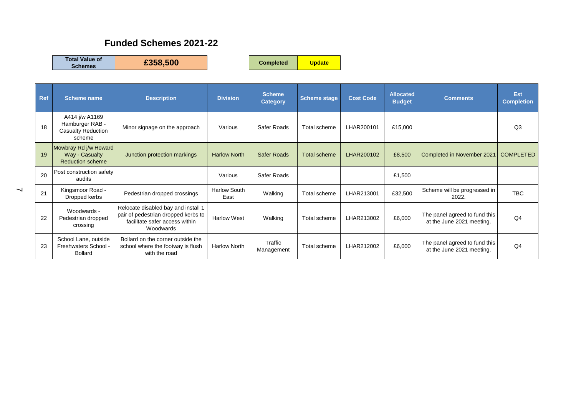## **Funded Schemes 2021-22**

**Total Value of** 

**Schemes £358,500 Completed Update**

| Ref | <b>Scheme name</b>                                                       | <b>Description</b>                                                                                                        | <b>Division</b>             | <b>Scheme</b><br><b>Category</b> | <b>Scheme stage</b> | <b>Cost Code</b> | <b>Allocated</b><br><b>Budget</b> | <b>Comments</b>                                            | Est<br><b>Completion</b> |
|-----|--------------------------------------------------------------------------|---------------------------------------------------------------------------------------------------------------------------|-----------------------------|----------------------------------|---------------------|------------------|-----------------------------------|------------------------------------------------------------|--------------------------|
| 18  | A414 j/w A1169<br>Hamburger RAB -<br><b>Casualty Reduction</b><br>scheme | Minor signage on the approach                                                                                             | Various                     | Safer Roads                      | Total scheme        | LHAR200101       | £15,000                           |                                                            | Q3                       |
| 19  | Mowbray Rd j/w Howard<br>Way - Casualty<br><b>Reduction scheme</b>       | Junction protection markings                                                                                              | <b>Harlow North</b>         | <b>Safer Roads</b>               | <b>Total scheme</b> | LHAR200102       | £8,500                            | Completed in November 2021                                 | <b>COMPLETED</b>         |
| 20  | Post construction safety<br>audits                                       |                                                                                                                           | Various                     | Safer Roads                      |                     |                  | £1,500                            |                                                            |                          |
| 21  | Kingsmoor Road -<br>Dropped kerbs                                        | Pedestrian dropped crossings                                                                                              | <b>Harlow South</b><br>East | Walking                          | Total scheme        | LHAR213001       | £32,500                           | Scheme will be progressed in<br>2022.                      | <b>TBC</b>               |
| 22  | Woodwards -<br>Pedestrian dropped<br>crossing                            | Relocate disabled bay and install 1<br>pair of pedestrian dropped kerbs to<br>facilitate safer access within<br>Woodwards | <b>Harlow West</b>          | Walking                          | Total scheme        | LHAR213002       | £6,000                            | The panel agreed to fund this<br>at the June 2021 meeting. | Q4                       |
| 23  | School Lane, outside<br>Freshwaters School -<br><b>Bollard</b>           | Bollard on the corner outside the<br>school where the footway is flush<br>with the road                                   | <b>Harlow North</b>         | Traffic<br>Management            | Total scheme        | LHAR212002       | £6,000                            | The panel agreed to fund this<br>at the June 2021 meeting. | Q4                       |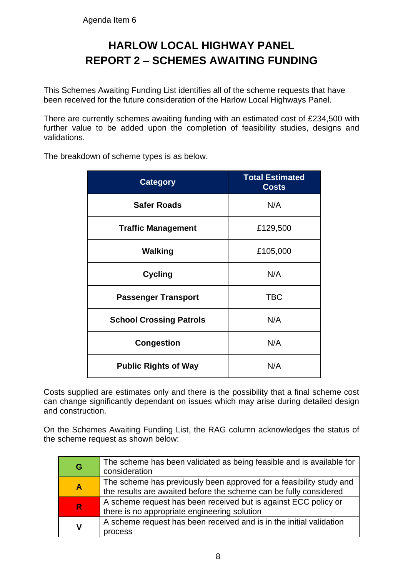## **HARLOW LOCAL HIGHWAY PANEL REPORT 2 – SCHEMES AWAITING FUNDING**

This Schemes Awaiting Funding List identifies all of the scheme requests that have been received for the future consideration of the Harlow Local Highways Panel.

There are currently schemes awaiting funding with an estimated cost of £234,500 with further value to be added upon the completion of feasibility studies, designs and validations.

| <b>Category</b>                | <b>Total Estimated</b><br><b>Costs</b> |
|--------------------------------|----------------------------------------|
| <b>Safer Roads</b>             | N/A                                    |
| <b>Traffic Management</b>      | £129,500                               |
| <b>Walking</b>                 | £105,000                               |
| <b>Cycling</b>                 | N/A                                    |
| <b>Passenger Transport</b>     | <b>TBC</b>                             |
| <b>School Crossing Patrols</b> | N/A                                    |
| <b>Congestion</b>              | N/A                                    |
| <b>Public Rights of Way</b>    | N/A                                    |

The breakdown of scheme types is as below.

Costs supplied are estimates only and there is the possibility that a final scheme cost can change significantly dependant on issues which may arise during detailed design and construction.

On the Schemes Awaiting Funding List, the RAG column acknowledges the status of the scheme request as shown below:

| G                | The scheme has been validated as being feasible and is available for<br>consideration                                                    |
|------------------|------------------------------------------------------------------------------------------------------------------------------------------|
| $\blacktriangle$ | The scheme has previously been approved for a feasibility study and<br>the results are awaited before the scheme can be fully considered |
| $\mathsf{R}$     | A scheme request has been received but is against ECC policy or<br>there is no appropriate engineering solution                          |
| V                | A scheme request has been received and is in the initial validation<br>process                                                           |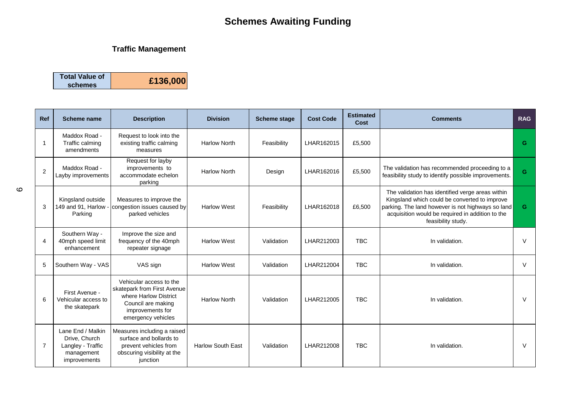### **Traffic Management**

| <b>Total Value of</b><br>schemes | £136,000 |
|----------------------------------|----------|
|                                  |          |

| Ref            | <b>Scheme name</b>                                                                    | <b>Description</b>                                                                                                                              | <b>Division</b>          | <b>Scheme stage</b> | <b>Cost Code</b> | <b>Estimated</b><br>Cost | <b>Comments</b>                                                                                                                                                                                                                  | <b>RAG</b> |
|----------------|---------------------------------------------------------------------------------------|-------------------------------------------------------------------------------------------------------------------------------------------------|--------------------------|---------------------|------------------|--------------------------|----------------------------------------------------------------------------------------------------------------------------------------------------------------------------------------------------------------------------------|------------|
| -1             | Maddox Road -<br>Traffic calming<br>amendments                                        | Request to look into the<br>existing traffic calming<br>measures                                                                                | <b>Harlow North</b>      | Feasibility         | LHAR162015       | £5,500                   |                                                                                                                                                                                                                                  | G          |
| $\overline{2}$ | Maddox Road -<br>Layby improvements                                                   | Request for layby<br>improvements to<br>accommodate echelon<br>parking                                                                          | <b>Harlow North</b>      | Design              | LHAR162016       | £5,500                   | The validation has recommended proceeding to a<br>feasibility study to identify possible improvements.                                                                                                                           | G          |
| 3              | Kingsland outside<br>149 and 91, Harlow -<br>Parking                                  | Measures to improve the<br>congestion issues caused by<br>parked vehicles                                                                       | <b>Harlow West</b>       | Feasibility         | LHAR162018       | £6,500                   | The validation has identified verge areas within<br>Kingsland which could be converted to improve<br>parking. The land however is not highways so land<br>acquisition would be required in addition to the<br>feasibility study. | G.         |
| 4              | Southern Way -<br>40mph speed limit<br>enhancement                                    | Improve the size and<br>frequency of the 40mph<br>repeater signage                                                                              | <b>Harlow West</b>       | Validation          | LHAR212003       | <b>TBC</b>               | In validation.                                                                                                                                                                                                                   | $\vee$     |
| 5              | Southern Way - VAS                                                                    | VAS sign                                                                                                                                        | <b>Harlow West</b>       | Validation          | LHAR212004       | <b>TBC</b>               | In validation.                                                                                                                                                                                                                   | $\vee$     |
| 6              | First Avenue -<br>Vehicular access to<br>the skatepark                                | Vehicular access to the<br>skatepark from First Avenue<br>where Harlow District<br>Council are making<br>improvements for<br>emergency vehicles | <b>Harlow North</b>      | Validation          | LHAR212005       | <b>TBC</b>               | In validation.                                                                                                                                                                                                                   | V          |
| $\overline{7}$ | Lane End / Malkin<br>Drive, Church<br>Langley - Traffic<br>management<br>improvements | Measures including a raised<br>surface and bollards to<br>prevent vehicles from<br>obscuring visibility at the<br>junction                      | <b>Harlow South East</b> | Validation          | LHAR212008       | <b>TBC</b>               | In validation.                                                                                                                                                                                                                   | $\vee$     |

 $\circ$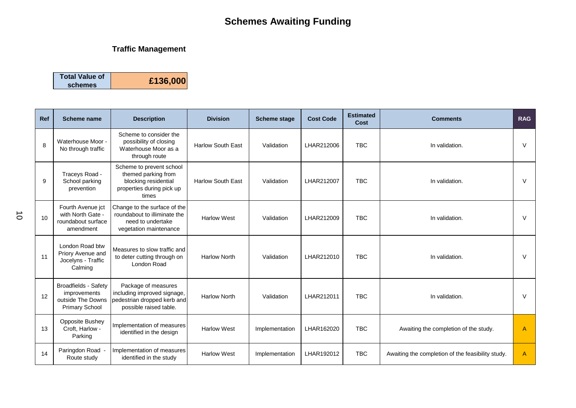## **Traffic Management**

| <b>Total Value of</b> | £136,000 |
|-----------------------|----------|
| schemes               |          |

| Ref | <b>Scheme name</b>                                                                        | <b>Description</b>                                                                                            | <b>Division</b>          | <b>Scheme stage</b> | <b>Cost Code</b> | <b>Estimated</b><br><b>Cost</b> | <b>Comments</b>                                   | <b>RAG</b> |
|-----|-------------------------------------------------------------------------------------------|---------------------------------------------------------------------------------------------------------------|--------------------------|---------------------|------------------|---------------------------------|---------------------------------------------------|------------|
| 8   | Waterhouse Moor -<br>No through traffic                                                   | Scheme to consider the<br>possibility of closing<br>Waterhouse Moor as a<br>through route                     | <b>Harlow South East</b> | Validation          | LHAR212006       | <b>TBC</b>                      | In validation.                                    | $\vee$     |
| 9   | Traceys Road -<br>School parking<br>prevention                                            | Scheme to prevent school<br>themed parking from<br>blocking residential<br>properties during pick up<br>times | <b>Harlow South East</b> | Validation          | LHAR212007       | <b>TBC</b>                      | In validation.                                    | $\vee$     |
| 10  | Fourth Avenue jct<br>with North Gate -<br>roundabout surface<br>amendment                 | Change to the surface of the<br>roundabout to illiminate the<br>need to undertake<br>vegetation maintenance   | <b>Harlow West</b>       | Validation          | LHAR212009       | <b>TBC</b>                      | In validation.                                    | V          |
| 11  | London Road btw<br>Priory Avenue and<br>Jocelyns - Traffic<br>Calming                     | Measures to slow traffic and<br>to deter cutting through on<br>London Road                                    | <b>Harlow North</b>      | Validation          | LHAR212010       | T <sub>BC</sub>                 | In validation.                                    | V          |
| 12  | Broadfields - Safety<br><i>improvements</i><br>outside The Downs<br><b>Primary School</b> | Package of measures<br>including improved signage,<br>pedestrian dropped kerb and<br>possible raised table.   | <b>Harlow North</b>      | Validation          | LHAR212011       | <b>TBC</b>                      | In validation.                                    | $\vee$     |
| 13  | <b>Opposite Bushey</b><br>Croft, Harlow -<br>Parking                                      | Implementation of measures<br>identified in the design                                                        | <b>Harlow West</b>       | Implementation      | LHAR162020       | <b>TBC</b>                      | Awaiting the completion of the study.             | A          |
| 14  | Paringdon Road -<br>Route study                                                           | Implementation of measures<br>identified in the study                                                         | <b>Harlow West</b>       | Implementation      | LHAR192012       | <b>TBC</b>                      | Awaiting the completion of the feasibility study. | A          |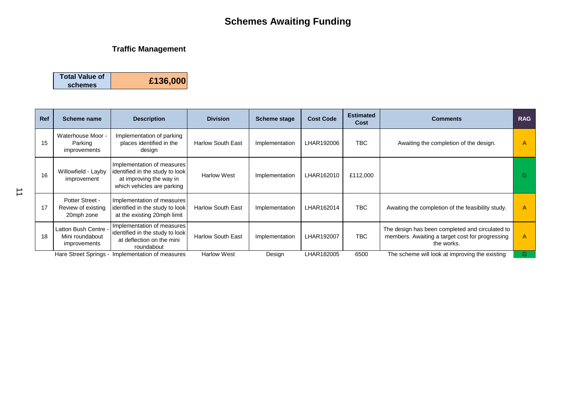## **Traffic Management**

| <b>Total Value of</b> |          |
|-----------------------|----------|
| schemes               | £136,000 |

| <b>Ref</b> | Scheme name                                             | <b>Description</b>                                                                                                     | <b>Division</b>          | <b>Scheme stage</b> | <b>Cost Code</b> | <b>Estimated</b><br>Cost | <b>Comments</b>                                                                                                  | <b>RAG</b> |
|------------|---------------------------------------------------------|------------------------------------------------------------------------------------------------------------------------|--------------------------|---------------------|------------------|--------------------------|------------------------------------------------------------------------------------------------------------------|------------|
| 15         | Waterhouse Moor -<br>Parking<br>improvements            | Implementation of parking<br>places identified in the<br>design                                                        | <b>Harlow South East</b> | Implementation      | LHAR192006       | TBC.                     | Awaiting the completion of the design.                                                                           | A          |
| 16         | Willowfield - Layby<br>improvement                      | Implementation of measures<br>identified in the study to look<br>at improving the way in<br>which vehicles are parking | <b>Harlow West</b>       | Implementation      | LHAR162010       | £112,000                 |                                                                                                                  | G.         |
| 17         | Potter Street -<br>Review of existing<br>20mph zone     | Implementation of measures<br>identified in the study to look<br>at the existing 20mph limit                           | <b>Harlow South East</b> | Implementation      | LHAR162014       | <b>TBC</b>               | Awaiting the completion of the feasibility study.                                                                | A          |
| 18         | Latton Bush Centre -<br>Mini roundabout<br>improvements | Implementation of measures<br>identified in the study to look<br>at deflection on the mini<br>roundabout               | <b>Harlow South East</b> | Implementation      | LHAR192007       | <b>TBC</b>               | The design has been completed and circulated to<br>members. Awaiting a target cost for progressing<br>the works. | A          |
|            |                                                         | Hare Street Springs - Implementation of measures                                                                       | <b>Harlow West</b>       | Design              | LHAR182005       | 6500                     | The scheme will look at improving the existing                                                                   | G          |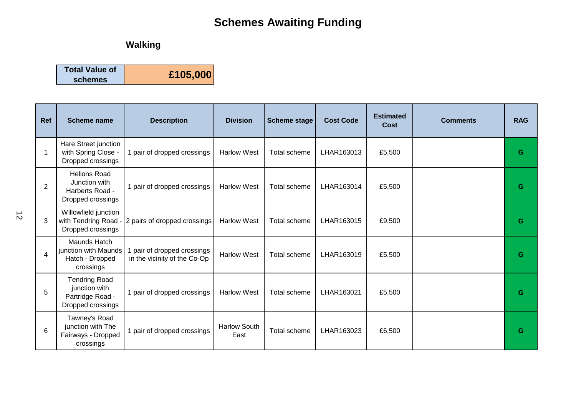## **Walking**

| <b>Total Value of</b> | £105,000 |
|-----------------------|----------|
| schemes               |          |

| Ref | <b>Scheme name</b>                                                             | <b>Description</b>                                        | <b>Division</b>             | <b>Scheme stage</b> | <b>Cost Code</b> | <b>Estimated</b><br>Cost | <b>Comments</b> | <b>RAG</b> |
|-----|--------------------------------------------------------------------------------|-----------------------------------------------------------|-----------------------------|---------------------|------------------|--------------------------|-----------------|------------|
|     | Hare Street junction<br>with Spring Close -<br>Dropped crossings               | 1 pair of dropped crossings                               | <b>Harlow West</b>          | Total scheme        | LHAR163013       | £5,500                   |                 | G          |
| 2   | <b>Helions Road</b><br>Junction with<br>Harberts Road -<br>Dropped crossings   | 1 pair of dropped crossings                               | <b>Harlow West</b>          | Total scheme        | LHAR163014       | £5,500                   |                 | G          |
| 3   | Willowfield junction<br>with Tendring Road<br>Dropped crossings                | 2 pairs of dropped crossings                              | <b>Harlow West</b>          | Total scheme        | LHAR163015       | £9,500                   |                 | G          |
| 4   | Maunds Hatch<br>junction with Maunds<br>Hatch - Dropped<br>crossings           | pair of dropped crossings<br>in the vicinity of the Co-Op | <b>Harlow West</b>          | Total scheme        | LHAR163019       | £5,500                   |                 | G          |
| 5   | <b>Tendring Road</b><br>junction with<br>Partridge Road -<br>Dropped crossings | 1 pair of dropped crossings                               | <b>Harlow West</b>          | Total scheme        | LHAR163021       | £5,500                   |                 | G          |
| 6   | Tawney's Road<br>junction with The<br>Fairways - Dropped<br>crossings          | 1 pair of dropped crossings                               | <b>Harlow South</b><br>East | Total scheme        | LHAR163023       | £6,500                   |                 | G          |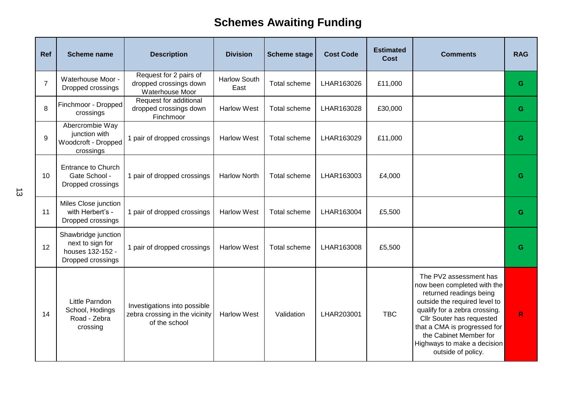| Ref            | <b>Scheme name</b>                                                               | <b>Description</b>                                                              | <b>Division</b>             | <b>Scheme stage</b> | <b>Cost Code</b> | <b>Estimated</b><br><b>Cost</b> | <b>Comments</b>                                                                                                                                                                                                                                                                                | <b>RAG</b>   |
|----------------|----------------------------------------------------------------------------------|---------------------------------------------------------------------------------|-----------------------------|---------------------|------------------|---------------------------------|------------------------------------------------------------------------------------------------------------------------------------------------------------------------------------------------------------------------------------------------------------------------------------------------|--------------|
| $\overline{7}$ | Waterhouse Moor -<br>Dropped crossings                                           | Request for 2 pairs of<br>dropped crossings down<br>Waterhouse Moor             | <b>Harlow South</b><br>East | Total scheme        | LHAR163026       | £11,000                         |                                                                                                                                                                                                                                                                                                | G            |
| 8              | Finchmoor - Dropped<br>crossings                                                 | Request for additional<br>dropped crossings down<br>Finchmoor                   | <b>Harlow West</b>          | Total scheme        | LHAR163028       | £30,000                         |                                                                                                                                                                                                                                                                                                | G            |
| 9              | Abercrombie Way<br>junction with<br>Woodcroft - Dropped<br>crossings             | 1 pair of dropped crossings                                                     | <b>Harlow West</b>          | Total scheme        | LHAR163029       | £11,000                         |                                                                                                                                                                                                                                                                                                | G            |
| 10             | <b>Entrance to Church</b><br>Gate School -<br>Dropped crossings                  | 1 pair of dropped crossings                                                     | <b>Harlow North</b>         | Total scheme        | LHAR163003       | £4,000                          |                                                                                                                                                                                                                                                                                                | G            |
| 11             | Miles Close junction<br>with Herbert's -<br>Dropped crossings                    | 1 pair of dropped crossings                                                     | <b>Harlow West</b>          | Total scheme        | LHAR163004       | £5,500                          |                                                                                                                                                                                                                                                                                                | G            |
| 12             | Shawbridge junction<br>next to sign for<br>houses 132-152 -<br>Dropped crossings | 1 pair of dropped crossings                                                     | <b>Harlow West</b>          | Total scheme        | LHAR163008       | £5,500                          |                                                                                                                                                                                                                                                                                                | G            |
| 14             | Little Parndon<br>School, Hodings<br>Road - Zebra<br>crossing                    | Investigations into possible<br>zebra crossing in the vicinity<br>of the school | <b>Harlow West</b>          | Validation          | LHAR203001       | <b>TBC</b>                      | The PV2 assessment has<br>now been completed with the<br>returned readings being<br>outside the required level to<br>qualify for a zebra crossing.<br>Cllr Souter has requested<br>that a CMA is progressed for<br>the Cabinet Member for<br>Highways to make a decision<br>outside of policy. | $\mathsf{R}$ |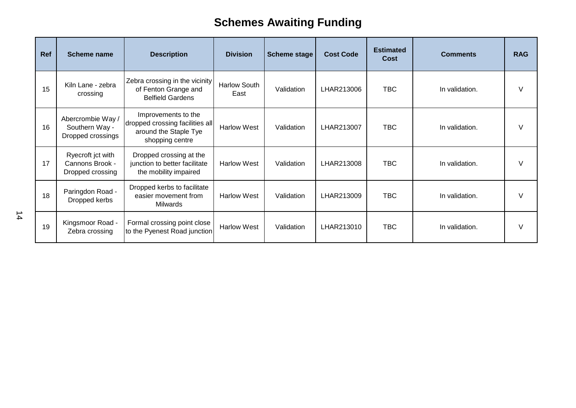| Ref | <b>Scheme name</b>                                       | <b>Description</b>                                                                                 | <b>Division</b>             | <b>Scheme stage</b> | <b>Cost Code</b> | <b>Estimated</b><br>Cost | <b>Comments</b> | <b>RAG</b> |
|-----|----------------------------------------------------------|----------------------------------------------------------------------------------------------------|-----------------------------|---------------------|------------------|--------------------------|-----------------|------------|
| 15  | Kiln Lane - zebra<br>crossing                            | Zebra crossing in the vicinity<br>of Fenton Grange and<br><b>Belfield Gardens</b>                  | <b>Harlow South</b><br>East | Validation          | LHAR213006       | <b>TBC</b>               | In validation.  | V          |
| 16  | Abercrombie Way /<br>Southern Way -<br>Dropped crossings | Improvements to the<br>dropped crossing facilities all<br>around the Staple Tye<br>shopping centre | <b>Harlow West</b>          | Validation          | LHAR213007       | <b>TBC</b>               | In validation.  | $\vee$     |
| 17  | Ryecroft jct with<br>Cannons Brook -<br>Dropped crossing | Dropped crossing at the<br>junction to better facilitate<br>the mobility impaired                  | <b>Harlow West</b>          | Validation          | LHAR213008       | <b>TBC</b>               | In validation.  | V          |
| 18  | Paringdon Road -<br>Dropped kerbs                        | Dropped kerbs to facilitate<br>easier movement from<br><b>Milwards</b>                             | <b>Harlow West</b>          | Validation          | LHAR213009       | <b>TBC</b>               | In validation.  | V          |
| 19  | Kingsmoor Road -<br>Zebra crossing                       | Formal crossing point close<br>to the Pyenest Road junction                                        | <b>Harlow West</b>          | Validation          | LHAR213010       | <b>TBC</b>               | In validation.  | V          |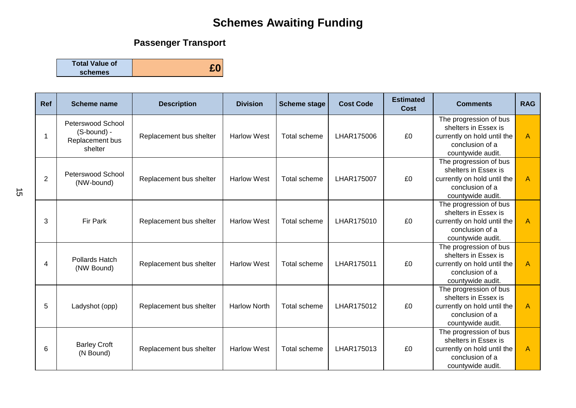## **Passenger Transport**

**Total Value of schemes £0**

| <b>Ref</b>     | Scheme name                                                    | <b>Description</b>      | <b>Division</b>     | <b>Scheme stage</b> | <b>Cost Code</b> | <b>Estimated</b><br>Cost | <b>Comments</b>                                                                                                       | <b>RAG</b> |
|----------------|----------------------------------------------------------------|-------------------------|---------------------|---------------------|------------------|--------------------------|-----------------------------------------------------------------------------------------------------------------------|------------|
| -1             | Peterswood School<br>(S-bound) -<br>Replacement bus<br>shelter | Replacement bus shelter | <b>Harlow West</b>  | Total scheme        | LHAR175006       | £0                       | The progression of bus<br>shelters in Essex is<br>currently on hold until the<br>conclusion of a<br>countywide audit. | A          |
| $\overline{2}$ | Peterswood School<br>(NW-bound)                                | Replacement bus shelter | <b>Harlow West</b>  | Total scheme        | LHAR175007       | £0                       | The progression of bus<br>shelters in Essex is<br>currently on hold until the<br>conclusion of a<br>countywide audit. | A          |
| 3              | <b>Fir Park</b>                                                | Replacement bus shelter | <b>Harlow West</b>  | Total scheme        | LHAR175010       | £0                       | The progression of bus<br>shelters in Essex is<br>currently on hold until the<br>conclusion of a<br>countywide audit. | A          |
| 4              | Pollards Hatch<br>(NW Bound)                                   | Replacement bus shelter | <b>Harlow West</b>  | Total scheme        | LHAR175011       | £0                       | The progression of bus<br>shelters in Essex is<br>currently on hold until the<br>conclusion of a<br>countywide audit. | A          |
| 5              | Ladyshot (opp)                                                 | Replacement bus shelter | <b>Harlow North</b> | Total scheme        | LHAR175012       | £0                       | The progression of bus<br>shelters in Essex is<br>currently on hold until the<br>conclusion of a<br>countywide audit. | A          |
| 6              | <b>Barley Croft</b><br>(N Bound)                               | Replacement bus shelter | <b>Harlow West</b>  | Total scheme        | LHAR175013       | £0                       | The progression of bus<br>shelters in Essex is<br>currently on hold until the<br>conclusion of a<br>countywide audit. | A          |